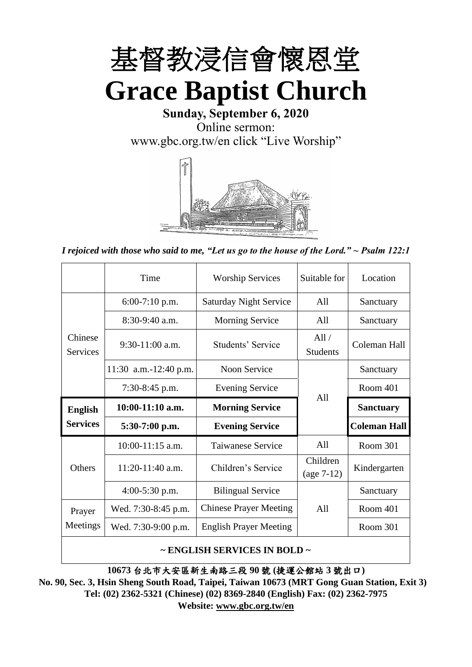

**Sunday, September 6, 2020** Online sermon: [www.gbc.org.tw/en](http://www.gbc.org.tw/en) click "Live Worship"



*I rejoiced with those who said to me, "Let us go to the house of the Lord." ~ Psalm 122:1*

|                            | Time                  | <b>Worship Services</b>       | Suitable for             | Location            |
|----------------------------|-----------------------|-------------------------------|--------------------------|---------------------|
|                            | $6:00-7:10$ p.m.      | <b>Saturday Night Service</b> | All                      | Sanctuary           |
|                            | $8:30-9:40$ a.m.      | <b>Morning Service</b>        | All                      | Sanctuary           |
| Chinese<br><b>Services</b> | $9:30-11:00$ a.m.     | Students' Service             | All/<br><b>Students</b>  | Coleman Hall        |
|                            | 11:30 a.m.-12:40 p.m. | Noon Service                  |                          | Sanctuary           |
|                            | $7:30-8:45$ p.m.      | <b>Evening Service</b>        | A11                      | Room 401            |
|                            |                       |                               |                          |                     |
| <b>English</b>             | $10:00-11:10$ a.m.    | <b>Morning Service</b>        |                          | <b>Sanctuary</b>    |
| <b>Services</b>            | $5:30-7:00$ p.m.      | <b>Evening Service</b>        |                          | <b>Coleman Hall</b> |
|                            | 10:00-11:15 a.m.      | <b>Taiwanese Service</b>      | All                      | <b>Room 301</b>     |
| <b>Others</b>              | $11:20-11:40$ a.m.    | Children's Service            | Children<br>$(age 7-12)$ | Kindergarten        |
|                            | 4:00-5:30 p.m.        | <b>Bilingual Service</b>      |                          | Sanctuary           |
| Prayer                     | Wed. 7:30-8:45 p.m.   | <b>Chinese Prayer Meeting</b> | A11                      | Room 401            |
| Meetings                   | Wed. 7:30-9:00 p.m.   | <b>English Prayer Meeting</b> |                          | Room 301            |

#### **~ ENGLISH SERVICES IN BOLD ~**

**10673** 台北市大安區新生南路三段 **90** 號 **(**捷運公館站 **3** 號出口**)**

**No. 90, Sec. 3, Hsin Sheng South Road, Taipei, Taiwan 10673 (MRT Gong Guan Station, Exit 3) Tel: (02) 2362-5321 (Chinese) (02) 8369-2840 (English) Fax: (02) 2362-7975 Website: [www.gbc.org.tw/en](http://www.gbc.org.tw/en)**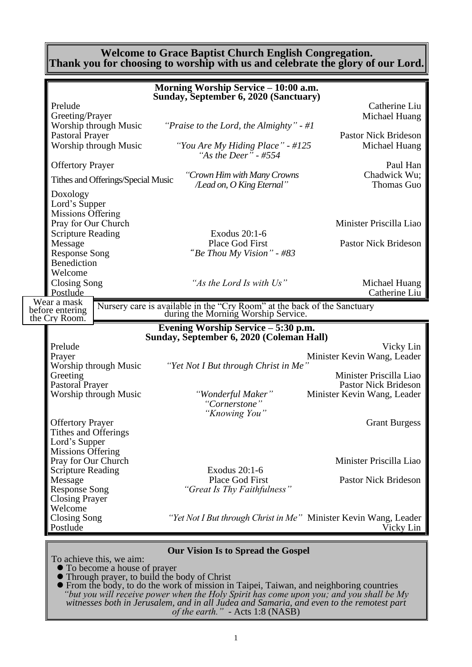#### **Welcome to Grace Baptist Church English Congregation. Thank you for choosing to worship with us and celebrate the glory of our Lord.**

|                                          | Morning Worship Service - 10:00 a.m.                                                                            |                                |
|------------------------------------------|-----------------------------------------------------------------------------------------------------------------|--------------------------------|
|                                          | Sunday, September 6, 2020 (Sanctuary)                                                                           |                                |
| Prelude<br>Greeting/Prayer               |                                                                                                                 | Catherine Liu<br>Michael Huang |
| Worship through Music                    | "Praise to the Lord, the Almighty" - $\#I$                                                                      |                                |
| <b>Pastoral Prayer</b>                   |                                                                                                                 | <b>Pastor Nick Brideson</b>    |
| Worship through Music                    | "You Are My Hiding Place" - #125<br>"As the Deer" - #554                                                        | Michael Huang                  |
| <b>Offertory Prayer</b>                  |                                                                                                                 | Paul Han                       |
| Tithes and Offerings/Special Music       | "Crown Him with Many Crowns<br>/Lead on, O King Eternal"                                                        | Chadwick Wu;<br>Thomas Guo     |
| Doxology                                 |                                                                                                                 |                                |
| Lord's Supper                            |                                                                                                                 |                                |
| Missions Offering<br>Pray for Our Church |                                                                                                                 | Minister Priscilla Liao        |
| <b>Scripture Reading</b>                 | Exodus 20:1-6                                                                                                   |                                |
| Message                                  | Place God First                                                                                                 | <b>Pastor Nick Brideson</b>    |
| <b>Response Song</b>                     | "Be Thou My Vision" - #83                                                                                       |                                |
| <b>Benediction</b>                       |                                                                                                                 |                                |
| Welcome                                  |                                                                                                                 |                                |
| Closing Song                             | "As the Lord Is with Us"                                                                                        | Michael Huang                  |
| Postlude<br>Wear a mask                  |                                                                                                                 | Catherine Liu                  |
| before entering                          | Nursery care is available in the "Cry Room" at the back of the Sanctuary<br>during the Morning Worship Service. |                                |
| the Cry Room.                            |                                                                                                                 |                                |
|                                          |                                                                                                                 |                                |
|                                          | Evening Worship Service - 5:30 p.m.                                                                             |                                |
| Prelude                                  | Sunday, September 6, 2020 (Coleman Hall)                                                                        | Vicky Lin                      |
| Prayer                                   |                                                                                                                 | Minister Kevin Wang, Leader    |
| Worship through Music                    | "Yet Not I But through Christ in Me"                                                                            |                                |
| Greeting                                 |                                                                                                                 | Minister Priscilla Liao        |
| Pastoral Prayer                          |                                                                                                                 | <b>Pastor Nick Brideson</b>    |
| Worship through Music                    | "Wonderful Maker"                                                                                               | Minister Kevin Wang, Leader    |
|                                          | "Cornerstone"<br>"Knowing You"                                                                                  |                                |
| <b>Offertory Prayer</b>                  |                                                                                                                 | <b>Grant Burgess</b>           |
| Tithes and Offerings                     |                                                                                                                 |                                |
| Lord's Supper                            |                                                                                                                 |                                |
| <b>Missions Offering</b>                 |                                                                                                                 |                                |
| Pray for Our Church                      | Exodus 20:1-6                                                                                                   | Minister Priscilla Liao        |
| <b>Scripture Reading</b><br>Message      | Place God First                                                                                                 | <b>Pastor Nick Brideson</b>    |
| <b>Response Song</b>                     | "Great Is Thy Faithfulness"                                                                                     |                                |
| <b>Closing Prayer</b>                    |                                                                                                                 |                                |
| Welcome                                  |                                                                                                                 |                                |
| <b>Closing Song</b>                      | "Yet Not I But through Christ in Me" Minister Kevin Wang, Leader                                                |                                |
| Postlude                                 |                                                                                                                 | Vicky Lin                      |

To achieve this, we aim:

- ⚫ To become a house of prayer
- ⚫ Through prayer, to build the body of Christ
- ⚫ From the body, to do the work of mission in Taipei, Taiwan, and neighboring countries *"but you will receive power when the Holy Spirit has come upon you; and you shall be My witnesses both in Jerusalem, and in all Judea and Samaria, and even to the remotest part of the earth." -* Acts 1:8 (NASB)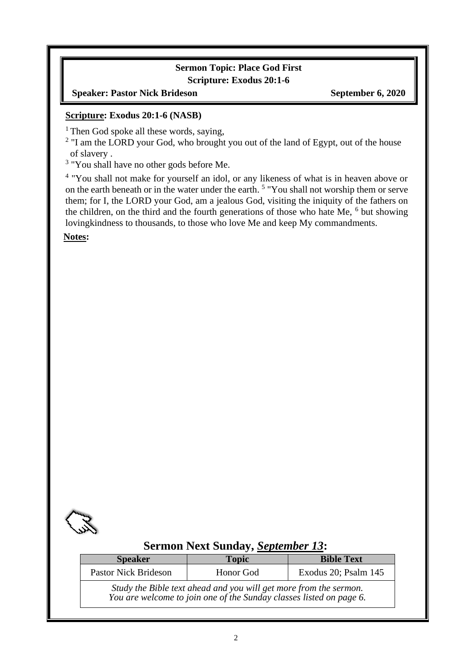## **Sermon Topic: Place God First Scripture: Exodus 20:1-6**

#### **Speaker: Pastor Nick Brideson September 6, 2020**

#### **Scripture: Exodus 20:1-6 (NASB)**

<sup>1</sup> Then God spoke all these words, saying,

 $2$  "I am the LORD your God, who brought you out of the land of Egypt, out of the house of slavery .

<sup>3</sup> "You shall have no other gods before Me.

<sup>4</sup> "You shall not make for yourself an idol, or any likeness of what is in heaven above or on the earth beneath or in the water under the earth. <sup>5</sup> "You shall not worship them or serve them; for I, the LORD your God, am a jealous God, visiting the iniquity of the fathers on the children, on the third and the fourth generations of those who hate Me,  $<sup>6</sup>$  but showing</sup> lovingkindness to thousands, to those who love Me and keep My commandments.

**Notes:**



# **Sermon Next Sunday,** *September 13***:**

| <b>Speaker</b>                                                                                                                           | <b>Topic</b> | <b>Bible Text</b>    |  |
|------------------------------------------------------------------------------------------------------------------------------------------|--------------|----------------------|--|
| <b>Pastor Nick Brideson</b>                                                                                                              | Honor God    | Exodus 20; Psalm 145 |  |
| Study the Bible text ahead and you will get more from the sermon.<br>You are welcome to join one of the Sunday classes listed on page 6. |              |                      |  |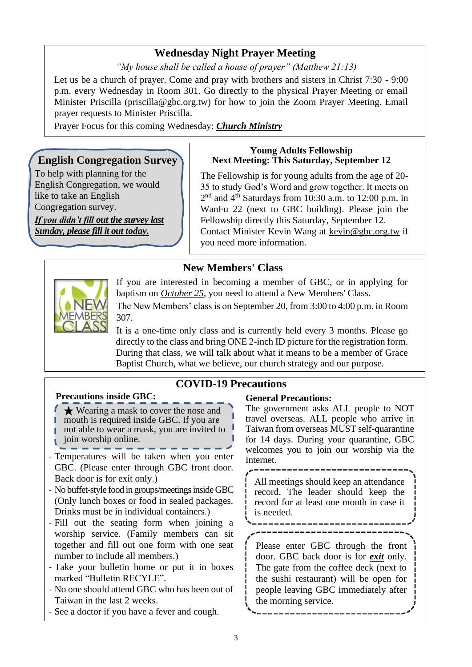# **Wednesday Night Prayer Meeting**

*"My house shall be called a house of prayer" (Matthew 21:13)*

Let us be a church of prayer. Come and pray with brothers and sisters in Christ 7:30 - 9:00 p.m. every Wednesday in Room 301. Go directly to the physical Prayer Meeting or email Minister Priscilla (priscilla@gbc.org.tw) for how to join the Zoom Prayer Meeting. Email prayer requests to Minister Priscilla.

Prayer Focus for this coming Wednesday: *Church Ministry*

## **English Congregation Survey**

To help with planning for the English Congregation, we would like to take an English Congregation survey.

*If you didn't fill out the survey last Sunday, please fill it out today.*

#### **Young Adults Fellowship Next Meeting: This Saturday, September 12**

The Fellowship is for young adults from the age of 20- 35 to study God's Word and grow together. It meets on 2<sup>nd</sup> and 4<sup>th</sup> Saturdays from 10:30 a.m. to 12:00 p.m. in WanFu 22 (next to GBC building). Please join the Fellowship directly this Saturday, September 12. Contact Minister Kevin Wang at kevin@gbc.org.tw if you need more information.

# **New Members' Class**

**COVID-19 Precautions**



If you are interested in becoming a member of GBC, or in applying for baptism on *October 25*, you need to attend a New Members' Class.

The New Members' class is on September 20, from 3:00 to 4:00 p.m. in Room 307.

It is a one-time only class and is currently held every 3 months. Please go directly to the class and bring ONE 2-inch ID picture for the registration form. During that class, we will talk about what it means to be a member of Grace Baptist Church, what we believe, our church strategy and our purpose.

## **Precautions inside GBC:**

★ Wearing a mask to cover the nose and mouth is required inside GBC. If you are not able to wear a mask, you are invited to join worship online.

- Temperatures will be taken when you enter GBC. (Please enter through GBC front door. Back door is for exit only.)
- No buffet-style food in groups/meetings inside GBC (Only lunch boxes or food in sealed packages. Drinks must be in individual containers.)
- Fill out the seating form when joining a worship service. (Family members can sit together and fill out one form with one seat number to include all members.)
- Take your bulletin home or put it in boxes marked "Bulletin RECYLE".
- No one should attend GBC who has been out of Taiwan in the last 2 weeks.
- See a doctor if you have a fever and cough.

#### **General Precautions:**

The government asks ALL people to NOT travel overseas. ALL people who arrive in Taiwan from overseas MUST self-quarantine for 14 days. During your quarantine, GBC welcomes you to join our worship via the Internet.

All meetings should keep an attendance record. The leader should keep the record for at least one month in case it is needed.

Please enter GBC through the front

door. GBC back door is for *exit* only. The gate from the coffee deck (next to the sushi restaurant) will be open for people leaving GBC immediately after the morning service.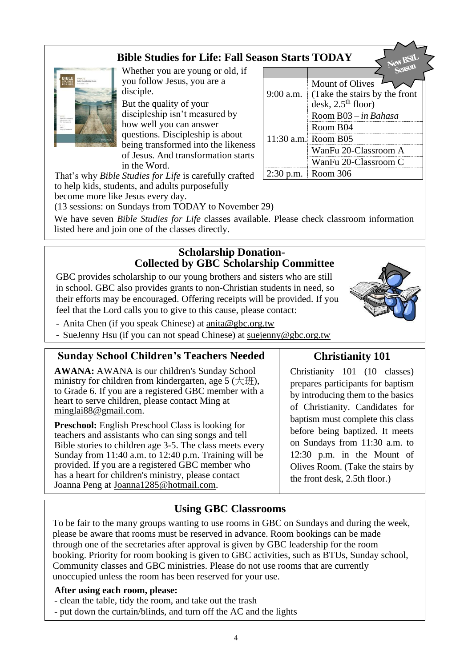# **Bible Studies for Life: Fall Season Starts TODAY**



Whether you are young or old, if you follow Jesus, you are a disciple.

But the quality of your discipleship isn't measured by how well you can answer questions. Discipleship is about being transformed into the likeness of Jesus. And transformation starts in the Word.

That's why *Bible Studies for Life* is carefully crafted to help kids, students, and adults purposefully become more like Jesus every day.

9:00 a.m. Mount of Olives (Take the stairs by the front desk,  $2.5<sup>th</sup>$  floor) 11:30 a.m. Room B05 Room B03 – *in Bahasa* Room B04 WanFu 20-Classroom A WanFu 20-Classroom C 2:30 p.m. Room 306

(13 sessions: on Sundays from TODAY to November 29)

We have seven *Bible Studies for Life* classes available. Please check classroom information listed here and join one of the classes directly.

## **Scholarship Donation-Collected by GBC Scholarship Committee**

GBC provides scholarship to our young brothers and sisters who are still in school. GBC also provides grants to non-Christian students in need, so their efforts may be encouraged. Offering receipts will be provided. If you feel that the Lord calls you to give to this cause, please contact:

- Anita Chen (if you speak Chinese) at [anita@gbc.org.tw](mailto:anita@gbc.org.tw)
- SueJenny Hsu (if you can not spead Chinese) at suejenny@gbc.org.tw

## **Sunday School Children's Teachers Needed**

**AWANA:** AWANA is our children's Sunday School ministry for children from kindergarten, age  $5 \times \text{H}$ ), to Grade 6. If you are a registered GBC member with a heart to serve children, please contact Ming at [minglai88@gmail.com.](mailto:minglai88@gmail.com)

**Preschool:** English Preschool Class is looking for teachers and assistants who can sing songs and tell Bible stories to children age 3-5. The class meets every Sunday from 11:40 a.m. to 12:40 p.m. Training will be provided. If you are a registered GBC member who has a heart for children's ministry, please contact Joanna Peng at Joanna1285@hotmail.com.

# **Christianity 101**

Christianity 101 (10 classes) prepares participants for baptism by introducing them to the basics of Christianity. Candidates for baptism must complete this class before being baptized. It meets on Sundays from 11:30 a.m. to 12:30 p.m. in the Mount of Olives Room. (Take the stairs by the front desk, 2.5th floor.)

# **Using GBC Classrooms**

To be fair to the many groups wanting to use rooms in GBC on Sundays and during the week, please be aware that rooms must be reserved in advance. Room bookings can be made through one of the secretaries after approval is given by GBC leadership for the room booking. Priority for room booking is given to GBC activities, such as BTUs, Sunday school, Community classes and GBC ministries. Please do not use rooms that are currently unoccupied unless the room has been reserved for your use.

#### **After using each room, please:**

- clean the table, tidy the room, and take out the trash
- put down the curtain/blinds, and turn off the AC and the lights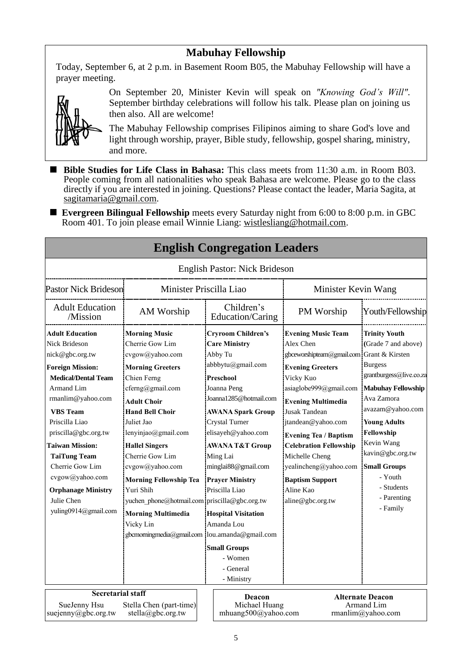# **Mabuhay Fellowship**

Today, September 6, at 2 p.m. in Basement Room B05, the Mabuhay Fellowship will have a prayer meeting.



On September 20, Minister Kevin will speak on *"Knowing God's Will"*. September birthday celebrations will follow his talk. Please plan on joining us then also. All are welcome!

The Mabuhay Fellowship comprises Filipinos aiming to share God's love and light through worship, prayer, Bible study, fellowship, gospel sharing, ministry, and more.

■ Bible Studies for Life Class in Bahasa: This class meets from 11:30 a.m. in Room B03. People coming from all nationalities who speak Bahasa are welcome. Please go to the class directly if you are interested in joining. Questions? Please contact the leader, Maria Sagita, at sagitamaria@gmail.com.

■ **Evergreen Bilingual Fellowship** meets every Saturday night from 6:00 to 8:00 p.m. in GBC Room 401. To join please email Winnie Liang: [wistlesliang@hotmail.com.](mailto:wistlesliang@hotmail.com)

| <b>English Congregation Leagers</b>                                                                             |                                                 |                         |                                                |                                           |                                                            |
|-----------------------------------------------------------------------------------------------------------------|-------------------------------------------------|-------------------------|------------------------------------------------|-------------------------------------------|------------------------------------------------------------|
|                                                                                                                 |                                                 |                         | <b>English Pastor: Nick Brideson</b>           |                                           |                                                            |
| <b>Pastor Nick Brideson</b>                                                                                     |                                                 | Minister Priscilla Liao |                                                | Minister Kevin Wang                       |                                                            |
| <b>Adult Education</b><br>/Mission                                                                              | AM Worship                                      |                         | Children's<br>Education/Caring                 | PM Worship                                | Youth/Fellowship                                           |
| <b>Adult Education</b>                                                                                          | <b>Morning Music</b>                            |                         | <b>Cryroom Children's</b>                      | <b>Evening Music Team</b>                 | <b>Trinity Youth</b>                                       |
| <b>Nick Brideson</b>                                                                                            | Cherrie Gow Lim                                 |                         | <b>Care Ministry</b>                           | Alex Chen                                 | (Grade 7 and above)                                        |
| nick@gbc.org.tw                                                                                                 | cvgow@yahoo.com                                 |                         | Abby Tu                                        | gbceworshipteam@gmail.com Grant & Kirsten |                                                            |
| <b>Foreign Mission:</b>                                                                                         | <b>Morning Greeters</b>                         |                         | abbbytu@gmail.com                              | <b>Evening Greeters</b>                   | <b>Burgess</b>                                             |
| <b>Medical/Dental Team</b>                                                                                      | Chien Ferng                                     |                         | Preschool                                      | Vicky Kuo                                 | grantburgess@live.co.za                                    |
| Armand Lim                                                                                                      | cferng@gmail.com                                |                         | Joanna Peng                                    | asiaglobe999@gmail.com                    | <b>Mabuhay Fellowship</b>                                  |
| rmanlim@yahoo.com                                                                                               | <b>Adult Choir</b>                              |                         | Joanna1285@hotmail.com                         | <b>Evening Multimedia</b>                 | Ava Zamora                                                 |
| <b>VBS</b> Team                                                                                                 | <b>Hand Bell Choir</b>                          |                         | <b>AWANA Spark Group</b>                       | <b>Jusak Tandean</b>                      | avazam@yahoo.com                                           |
| Priscilla Liao                                                                                                  | Juliet Jao                                      |                         | Crystal Turner                                 | jtandean@yahoo.com                        | <b>Young Adults</b>                                        |
| priscilla@gbc.org.tw                                                                                            | lenyinjao@gmail.com                             |                         | elisayeh@yahoo.com                             | <b>Evening Tea / Baptism</b>              | Fellowship                                                 |
| <b>Taiwan Mission:</b>                                                                                          | <b>Hallel Singers</b>                           |                         | <b>AWANA T&amp;T Group</b>                     | <b>Celebration Fellowship</b>             | Kevin Wang                                                 |
| <b>TaiTung Team</b>                                                                                             | Cherrie Gow Lim                                 |                         | Ming Lai                                       | Michelle Cheng                            | kavin@gbc.org.tw                                           |
| Cherrie Gow Lim                                                                                                 | cvgow@yahoo.com                                 |                         | minglai88@gmail.com                            | yealincheng@yahoo.com                     | <b>Small Groups</b>                                        |
| cvgow@yahoo.com                                                                                                 | <b>Morning Fellowship Tea</b>                   |                         | <b>Prayer Ministry</b>                         | <b>Baptism Support</b>                    | - Youth                                                    |
| <b>Orphanage Ministry</b>                                                                                       | Yuri Shih                                       |                         | Priscilla Liao                                 | Aline Kao                                 | - Students                                                 |
| Julie Chen                                                                                                      | yuchen phone@hotmail.com priscilla@gbc.org.tw   |                         |                                                | aline@gbc.org.tw                          | - Parenting                                                |
| yuling0914@gmail.com                                                                                            | <b>Morning Multimedia</b>                       |                         | <b>Hospital Visitation</b>                     |                                           | - Family                                                   |
|                                                                                                                 | Vicky Lin                                       |                         | Amanda Lou                                     |                                           |                                                            |
|                                                                                                                 | gbcmorningmedia@gmail.com  lou.amanda@gmail.com |                         |                                                |                                           |                                                            |
|                                                                                                                 |                                                 |                         |                                                |                                           |                                                            |
|                                                                                                                 |                                                 |                         | <b>Small Groups</b><br>- Women                 |                                           |                                                            |
|                                                                                                                 |                                                 |                         | - General                                      |                                           |                                                            |
|                                                                                                                 |                                                 |                         | - Ministry                                     |                                           |                                                            |
|                                                                                                                 |                                                 |                         |                                                |                                           |                                                            |
| <b>Secretarial staff</b><br>SueJenny Hsu<br>Stella Chen (part-time)<br>suejenny@gbc.org.tw<br>stella@gbc.org.tw |                                                 |                         | Deacon<br>Michael Huang<br>mhuang500@yahoo.com |                                           | <b>Alternate Deacon</b><br>Armand Lim<br>rmanlim@yahoo.com |

# **English Congregation Leaders**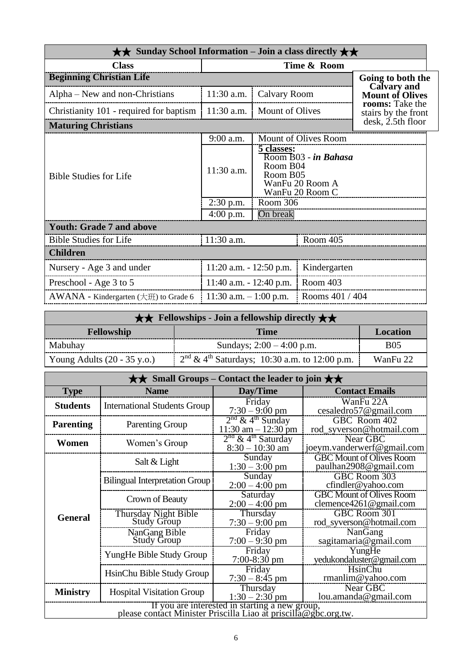| $\star\star$ Sunday School Information – Join a class directly $\star\star$ |                                            |                                    |                                                            |                                              |
|-----------------------------------------------------------------------------|--------------------------------------------|------------------------------------|------------------------------------------------------------|----------------------------------------------|
| <b>Class</b><br>Time & Room                                                 |                                            |                                    |                                                            |                                              |
| <b>Beginning Christian Life</b>                                             |                                            |                                    |                                                            | Going to both the                            |
| Alpha – New and non-Christians                                              | 11:30 a.m.                                 | Calvary Room                       |                                                            | <b>Calvary and</b><br><b>Mount of Olives</b> |
| Christianity 101 - required for baptism                                     | $11:30$ a.m.                               | <b>Mount of Olives</b>             |                                                            | rooms: Take the<br>stairs by the front       |
| <b>Maturing Christians</b>                                                  |                                            |                                    |                                                            | $\mathrm{d}\mathrm{esk}$ , 2.5th floor       |
|                                                                             | 9:00 a.m.                                  |                                    | Mount of Olives Room                                       |                                              |
| <b>Bible Studies for Life</b>                                               | 11:30 a.m.                                 | 5 classes:<br>Room B04<br>Room B05 | Room B03 - in Bahasa<br>WanFu 20 Room A<br>WanFu 20 Room C |                                              |
|                                                                             | $2:30$ p.m.                                | Room 306                           |                                                            |                                              |
|                                                                             | $4:00$ p.m.                                | On break                           |                                                            |                                              |
| <b>Youth: Grade 7 and above</b>                                             |                                            |                                    |                                                            |                                              |
| <b>Bible Studies for Life</b>                                               | 11:30 a.m.                                 |                                    | Room 405                                                   |                                              |
| <b>Children</b>                                                             |                                            |                                    |                                                            |                                              |
| Nursery - Age 3 and under                                                   | 11:20 a.m. - 12:50 p.m.                    |                                    | Kindergarten                                               |                                              |
| Preschool - Age 3 to 5                                                      | $11:40$ a.m. $-12:40$ p.m.                 |                                    | Room 403                                                   |                                              |
| $AWANA$ - Kindergarten ( $\pm \text{ff}$ ) to Grade 6                       | Rooms 401 / 404<br>11:30 a.m. $-1:00$ p.m. |                                    |                                                            |                                              |

| $\star \star$ Fellowships - Join a fellowship directly $\star \star$ |                                                   |            |  |
|----------------------------------------------------------------------|---------------------------------------------------|------------|--|
| <b>Fellowship</b><br>Time<br>Location                                |                                                   |            |  |
| Mabuhay                                                              | Sundays; $2:00 - 4:00$ p.m.                       | <b>B05</b> |  |
| Young Adults $(20 - 35 \text{ y.o.})$                                | $2nd \& 4th Saturdays$ ; 10:30 a.m. to 12:00 p.m. | WanFu 22   |  |

| $\star\star$ Small Groups – Contact the leader to join $\star\star$                                               |                                       |                                                          |                                                           |  |
|-------------------------------------------------------------------------------------------------------------------|---------------------------------------|----------------------------------------------------------|-----------------------------------------------------------|--|
| <b>Type</b>                                                                                                       | <b>Name</b>                           | Day/Time                                                 | <b>Contact Emails</b>                                     |  |
| <b>Students</b>                                                                                                   | <b>International Students Group</b>   | Friday<br>$7:30 - 9:00$ pm                               | WanFu 22A<br>cesaledro57@gmail.com                        |  |
| <b>Parenting</b>                                                                                                  | <b>Parenting Group</b>                | $2nd$ & 4 <sup>th</sup> Sunday<br>$11:30$ am $-12:30$ pm | GBC Room 402<br>rod_syverson@hotmail.com                  |  |
| Women                                                                                                             | Women's Group                         | $2nd$ & 4 <sup>th</sup> Saturday<br>$8:30 - 10:30$ am    | Near GBC<br>joeym.vanderwerf@gmail.com                    |  |
|                                                                                                                   | Salt & Light                          | Sunday<br>$1:30 - 3:00$ pm                               | <b>GBC Mount of Olives Room</b><br>paulhan2908@gmail.com  |  |
|                                                                                                                   | <b>Bilingual Interpretation Group</b> | Sunday<br>$2:00 - 4:00$ pm                               | GBC Room 303<br>cfindler@yahoo.com                        |  |
|                                                                                                                   | Crown of Beauty                       | Saturday<br>$2:00 - 4:00$ pm                             | <b>GBC Mount of Olives Room</b><br>clemence4261@gmail.com |  |
| <b>General</b>                                                                                                    | Thursday Night Bible<br>Study Group   | Thursday<br>$7:30 - 9:00$ pm                             | GBC Room 301<br>rod_syverson@hotmail.com                  |  |
|                                                                                                                   | NanGang Bible<br><b>Study Group</b>   | Friday<br>$7:00 - 9:30$ pm                               | NanGang<br>sagitamaria@gmail.com                          |  |
|                                                                                                                   | YungHe Bible Study Group              | Friday<br>$7:00-8:30$ pm                                 | YungHe<br>yedukondaluster@gmail.com                       |  |
|                                                                                                                   | HsinChu Bible Study Group             | Friday<br>$7:30 - 8:45$ pm                               | HsinChu<br>rmanlim@yahoo.com                              |  |
| <b>Ministry</b>                                                                                                   | <b>Hospital Visitation Group</b>      | Thursday<br>$1:30 - 2:30$ pm                             | Near GBC<br>lou.amanda@gmail.com                          |  |
| If you are interested in starting a new group,<br>please contact Minister Priscilla Liao at priscilla@gbc.org.tw. |                                       |                                                          |                                                           |  |